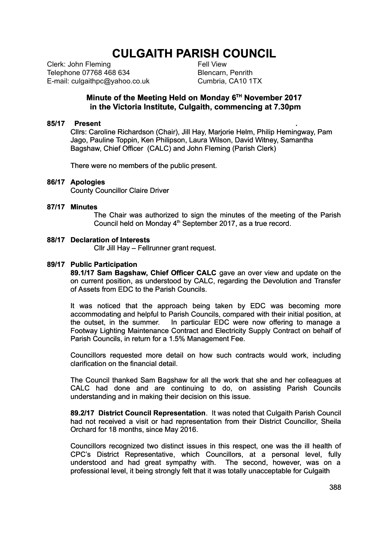# **CULGAITH PARISH COUNCIL**

Clerk: John Fleming Telephone 07768 468 634 E-mail: culgaithpc@yahoo.co.uk Fell View Blencarn, Penrith Cumbria, CA10 1TX

### **Minute of the Meeting Held on Monday 6TH November 2017 in the Victoria Institute, Culgaith, commencing at 7.30pm**

### **85/17 Present .**

Cllrs: Caroline Richardson (Chair), Jill Hay, Marjorie Helm, Philip Hemingway, Pam Jago, Pauline Toppin, Ken Philipson, Laura Wilson, David Witney, Samantha Bagshaw, Chief Officer (CALC) and John Fleming (Parish Clerk)

There were no members of the public present.

### **86/17 Apologies**

County Councillor Claire Driver

### **87/17 Minutes**

The Chair was authorized to sign the minutes of the meeting of the Parish Council held on Monday 4<sup>th</sup> September 2017, as a true record.

### **88/17 Declaration of Interests**

Cllr Jill Hay – Fellrunner grant request.

### **89/17 Public Participation**

**89.1/17 Sam Bagshaw, Chief Officer CALC** gave an over view and update on the on current position, as understood by CALC, regarding the Devolution and Transfer of Assets from EDC to the Parish Councils.

It was noticed that the approach being taken by EDC was becoming more accommodating and helpful to Parish Councils, compared with their initial position, at the outset, in the summer. In particular EDC were now offering to manage a Footway Lighting Maintenance Contract and Electricity Supply Contract on behalf of Parish Councils, in return for a 1.5% Management Fee.

Councillors requested more detail on how such contracts would work, including clarification on the financial detail.

The Council thanked Sam Bagshaw for all the work that she and her colleagues at CALC had done and are continuing to do, on assisting Parish Councils understanding and in making their decision on this issue.

**89.2/17 District Council Representation**. It was noted that Culgaith Parish Council had not received a visit or had representation from their District Councillor, Sheila Orchard for 18 months, since May 2016.

Councillors recognized two distinct issues in this respect, one was the ill health of CPC's District Representative, which Councillors, at a personal level, fully understood and had great sympathy with. The second, however, was on a professional level, it being strongly felt that it was totally unacceptable for Culgaith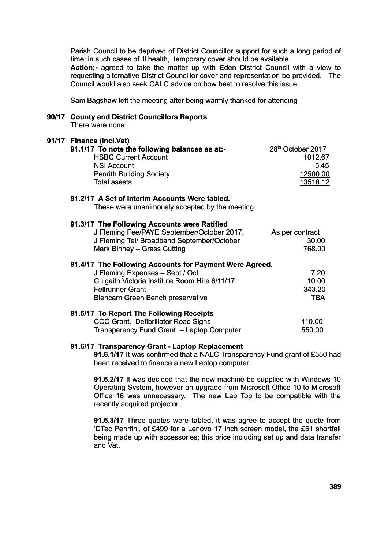Parish Council to be deprived of District Councillor support for such a long period of time; in such cases of ill health, temporary cover should be available.

**Action;-** agreed to take the matter up with Eden District Council with a view to requesting alternative District Councillor cover and representation be provided. The Council would also seek CALC advice on how best to resolve this issue..

Sam Bagshaw left the meeting after being warmly thanked for attending

### **90/17 County and District Councillors Reports**

There were none.

# **91/17 Finance (Incl.Vat) 91.1/17** To note the following balances as at:- 28<sup>th</sup> October 2017 HSBC Current Account 1012.67 NSI Account 5.45 Penrith Building Society 12500.00 Total assets 13518.12 **91.2/17 A Set of Interim Accounts Were tabled.** These were unanimously accepted by the meeting **91.3/17 The Following Accounts were Ratified**  J Fleming Fee/PAYE September/October 2017. As per contract J Fleming Tel/ Broadband September/October 30.00 Mark Binney – Grass Cutting 768.00 **91.4/17 The Following Accounts for Payment Were Agreed.** J Fleming Expenses – Sept / Oct 7.20 Culgaith Victoria Institute Room Hire 6/11/17 10.00 Fellrunner Grant 343.20 Blencarn Green Bench preservative TBA **91.5/17 To Report The Following Receipts**  CCC Grant. Defibrillator Road Signs 110.00 Transparency Fund Grant – Laptop Computer 550.00

### **91.6/17 Transparency Grant - Laptop Replacement**

**91.6.1/17** It was confirmed that a NALC Transparency Fund grant of £550 had been received to finance a new Laptop computer.

**91.6.2/17** It was decided that the new machine be supplied with Windows 10 Operating System, however an upgrade from Microsoft Office 10 to Microsoft Office 16 was unnecessary. The new Lap Top to be compatible with the recently acquired projector.

**91.6.3/17** Three quotes were tabled, it was agree to accept the quote from 'DTec Penrith', of £499 for a Lenovo 17 inch screen model, the £51 shortfall being made up with accessories; this price including set up and data transfer and Vat.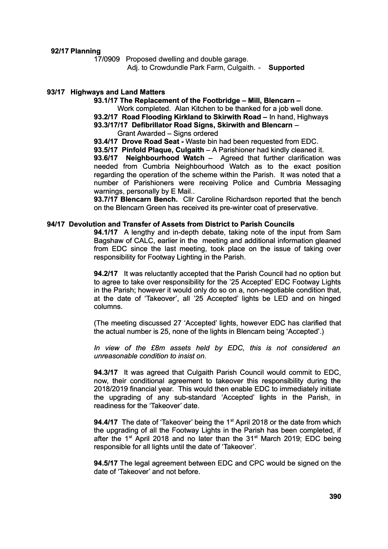**92/17 Planning**

17/0909 Proposed dwelling and double garage.

Adj. to Crowdundle Park Farm, Culgaith. - **Supported**

### **93/17 Highways and Land Matters**

**93.1/17 The Replacement of the Footbridge – Mill, Blencarn –**

Work completed. Alan Kitchen to be thanked for a job well done.

**93.2/17 Road Flooding Kirkland to Skirwith Road –** In hand, Highways

**93.3/17/17 Defibrillator Road Signs, Skirwith and Blencarn** – Grant Awarded – Signs ordered

**93.4/17 Drove Road Seat -** Waste bin had been requested from EDC.

**93.5/17 Pinfold Plaque, Culgaith** – A Parishioner had kindly cleaned it.

**93.6/17 Neighbourhood Watch** – Agreed that further clarification was needed from Cumbria Neighbourhood Watch as to the exact position regarding the operation of the scheme within the Parish. It was noted that a number of Parishioners were receiving Police and Cumbria Messaging warnings, personally by E Mail..

**93.7/17 Blencarn Bench.** Cllr Caroline Richardson reported that the bench on the Blencarn Green has received its pre-winter coat of preservative.

#### **94/17 Devolution and Transfer of Assets from District to Parish Councils**

**94.1/17** A lengthy and in-depth debate, taking note of the input from Sam Bagshaw of CALC, earlier in the meeting and additional information gleaned from EDC since the last meeting, took place on the issue of taking over responsibility for Footway Lighting in the Parish.

**94.2/17** It was reluctantly accepted that the Parish Council had no option but to agree to take over responsibility for the '25 Accepted' EDC Footway Lights in the Parish; however it would only do so on a, non-negotiable condition that, at the date of 'Takeover', all '25 Accepted' lights be LED and on hinged columns.

(The meeting discussed 27 'Accepted' lights, however EDC has clarified that the actual number is 25, none of the lights in Blencarn being 'Accepted'.)

*In view of the £8m assets held by EDC, this is not considered an unreasonable condition to insist on.*

**94.3/17** It was agreed that Culgaith Parish Council would commit to EDC, now, their conditional agreement to takeover this responsibility during the 2018/2019 financial year. This would then enable EDC to immediately initiate the upgrading of any sub-standard 'Accepted' lights in the Parish, in readiness for the 'Takeover' date.

**94.4/17** The date of 'Takeover' being the 1<sup>st</sup> April 2018 or the date from which the upgrading of all the Footway Lights in the Parish has been completed, if after the 1<sup>st</sup> April 2018 and no later than the 31<sup>st</sup> March 2019; EDC being responsible for all lights until the date of 'Takeover'.

**94.5/17** The legal agreement between EDC and CPC would be signed on the date of 'Takeover' and not before.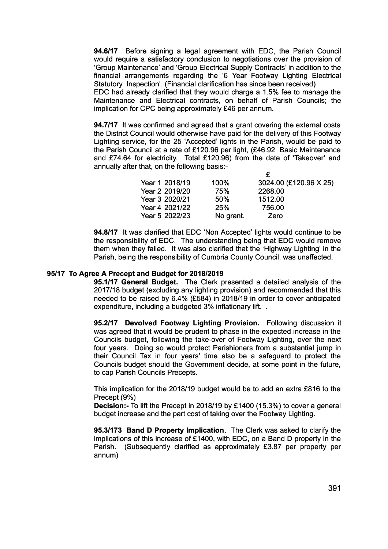**94.6/17** Before signing a legal agreement with EDC, the Parish Council would require a satisfactory conclusion to negotiations over the provision of 'Group Maintenance' and 'Group Electrical Supply Contracts' in addition to the financial arrangements regarding the '6 Year Footway Lighting Electrical Statutory Inspection'. (Financial clarification has since been received) EDC had already clarified that they would charge a 1.5% fee to manage the Maintenance and Electrical contracts, on behalf of Parish Councils; the

implication for CPC being approximately £46 per annum.

**94.7/17** It was confirmed and agreed that a grant covering the external costs the District Council would otherwise have paid for the delivery of this Footway Lighting service, for the 25 'Accepted' lights in the Parish, would be paid to the Parish Council at a rate of £120.96 per light, (£46.92 Basic Maintenance and £74.64 for electricity. Total £120.96) from the date of 'Takeover' and annually after that, on the following basis:- £

| Year 1 2018/19 | 100%      | 3024.00 (£120.96 X 25) |
|----------------|-----------|------------------------|
| Year 2 2019/20 | 75%       | 2268.00                |
| Year 3 2020/21 | 50%       | 1512.00                |
| Year 4 2021/22 | 25%       | 756.00                 |
| Year 5 2022/23 | No grant. | Zero                   |

**94.8/17** It was clarified that EDC 'Non Accepted' lights would continue to be the responsibility of EDC. The understanding being that EDC would remove them when they failed. It was also clarified that the 'Highway Lighting' in the Parish, being the responsibility of Cumbria County Council, was unaffected.

### **95/17 To Agree A Precept and Budget for 2018/2019**

**95.1/17 General Budget.** The Clerk presented a detailed analysis of the 2017/18 budget (excluding any lighting provision) and recommended that this needed to be raised by 6.4% (£584) in 2018/19 in order to cover anticipated expenditure, including a budgeted 3% inflationary lift. .

**95.2/17 Devolved Footway Lighting Provision.** Following discussion it was agreed that it would be prudent to phase in the expected increase in the Councils budget, following the take-over of Footway Lighting, over the next four years. Doing so would protect Parishioners from a substantial jump in their Council Tax in four years' time also be a safeguard to protect the Councils budget should the Government decide, at some point in the future, to cap Parish Councils Precepts.

This implication for the 2018/19 budget would be to add an extra £816 to the Precept (9%)

**Decision:-** To lift the Precept in 2018/19 by £1400 (15.3%) to cover a general budget increase and the part cost of taking over the Footway Lighting.

**95.3/173 Band D Property Implication**. The Clerk was asked to clarify the implications of this increase of £1400, with EDC, on a Band D property in the Parish. (Subsequently clarified as approximately £3.87 per property per annum)